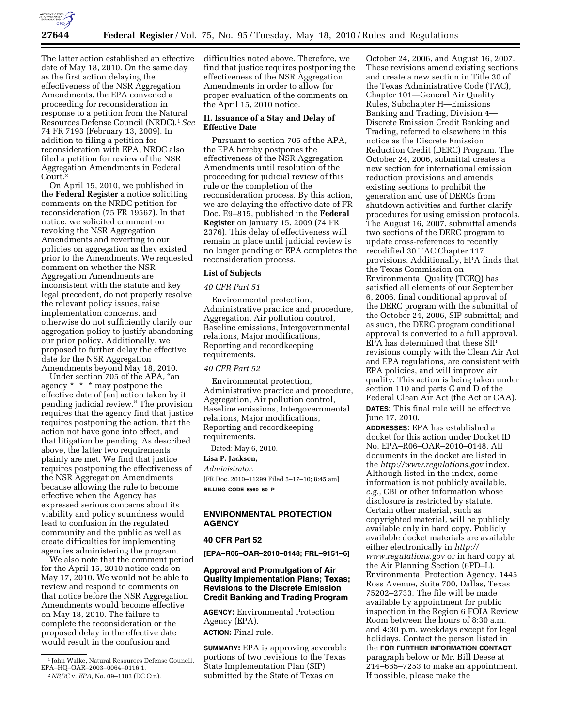

The latter action established an effective date of May 18, 2010. On the same day as the first action delaying the effectiveness of the NSR Aggregation Amendments, the EPA convened a proceeding for reconsideration in response to a petition from the Natural Resources Defense Council (NRDC).1*See*  74 FR 7193 (February 13, 2009). In addition to filing a petition for reconsideration with EPA, NRDC also filed a petition for review of the NSR Aggregation Amendments in Federal Court.2

On April 15, 2010, we published in the **Federal Register** a notice soliciting comments on the NRDC petition for reconsideration (75 FR 19567). In that notice, we solicited comment on revoking the NSR Aggregation Amendments and reverting to our policies on aggregation as they existed prior to the Amendments. We requested comment on whether the NSR Aggregation Amendments are inconsistent with the statute and key legal precedent, do not properly resolve the relevant policy issues, raise implementation concerns, and otherwise do not sufficiently clarify our aggregation policy to justify abandoning our prior policy. Additionally, we proposed to further delay the effective date for the NSR Aggregation Amendments beyond May 18, 2010.

Under section 705 of the APA, "an agency \* \* \* may postpone the effective date of [an] action taken by it pending judicial review.'' The provision requires that the agency find that justice requires postponing the action, that the action not have gone into effect, and that litigation be pending. As described above, the latter two requirements plainly are met. We find that justice requires postponing the effectiveness of the NSR Aggregation Amendments because allowing the rule to become effective when the Agency has expressed serious concerns about its viability and policy soundness would lead to confusion in the regulated community and the public as well as create difficulties for implementing agencies administering the program.

We also note that the comment period for the April 15, 2010 notice ends on May 17, 2010. We would not be able to review and respond to comments on that notice before the NSR Aggregation Amendments would become effective on May 18, 2010. The failure to complete the reconsideration or the proposed delay in the effective date would result in the confusion and

difficulties noted above. Therefore, we find that justice requires postponing the effectiveness of the NSR Aggregation Amendments in order to allow for proper evaluation of the comments on the April 15, 2010 notice.

### **II. Issuance of a Stay and Delay of Effective Date**

Pursuant to section 705 of the APA, the EPA hereby postpones the effectiveness of the NSR Aggregation Amendments until resolution of the proceeding for judicial review of this rule or the completion of the reconsideration process. By this action, we are delaying the effective date of FR Doc. E9–815, published in the **Federal Register** on January 15, 2009 (74 FR 2376). This delay of effectiveness will remain in place until judicial review is no longer pending or EPA completes the reconsideration process.

#### **List of Subjects**

#### *40 CFR Part 51*

Environmental protection, Administrative practice and procedure, Aggregation, Air pollution control, Baseline emissions, Intergovernmental relations, Major modifications, Reporting and recordkeeping requirements.

#### *40 CFR Part 52*

Environmental protection, Administrative practice and procedure, Aggregation, Air pollution control, Baseline emissions, Intergovernmental relations, Major modifications, Reporting and recordkeeping requirements.

Dated: May 6, 2010.

#### **Lisa P. Jackson,**

*Administrator.*  [FR Doc. 2010–11299 Filed 5–17–10; 8:45 am] **BILLING CODE 6560–50–P** 

# **ENVIRONMENTAL PROTECTION AGENCY**

## **40 CFR Part 52**

**[EPA–R06–OAR–2010–0148; FRL–9151–6]** 

# **Approval and Promulgation of Air Quality Implementation Plans; Texas; Revisions to the Discrete Emission Credit Banking and Trading Program**

**AGENCY:** Environmental Protection Agency (EPA). **ACTION:** Final rule.

**SUMMARY:** EPA is approving severable portions of two revisions to the Texas State Implementation Plan (SIP) submitted by the State of Texas on

October 24, 2006, and August 16, 2007. These revisions amend existing sections and create a new section in Title 30 of the Texas Administrative Code (TAC), Chapter 101—General Air Quality Rules, Subchapter H—Emissions Banking and Trading, Division 4— Discrete Emission Credit Banking and Trading, referred to elsewhere in this notice as the Discrete Emission Reduction Credit (DERC) Program. The October 24, 2006, submittal creates a new section for international emission reduction provisions and amends existing sections to prohibit the generation and use of DERCs from shutdown activities and further clarify procedures for using emission protocols. The August 16, 2007, submittal amends two sections of the DERC program to update cross-references to recently recodified 30 TAC Chapter 117 provisions. Additionally, EPA finds that the Texas Commission on Environmental Quality (TCEQ) has satisfied all elements of our September 6, 2006, final conditional approval of the DERC program with the submittal of the October 24, 2006, SIP submittal; and as such, the DERC program conditional approval is converted to a full approval. EPA has determined that these SIP revisions comply with the Clean Air Act and EPA regulations, are consistent with EPA policies, and will improve air quality. This action is being taken under section 110 and parts C and D of the Federal Clean Air Act (the Act or CAA). **DATES:** This final rule will be effective June 17, 2010.

**ADDRESSES:** EPA has established a docket for this action under Docket ID No. EPA–R06–OAR–2010–0148. All documents in the docket are listed in the *http://www.regulations.gov* index. Although listed in the index, some information is not publicly available, *e.g.,* CBI or other information whose disclosure is restricted by statute. Certain other material, such as copyrighted material, will be publicly available only in hard copy. Publicly available docket materials are available either electronically in *http:// www.regulations.gov* or in hard copy at the Air Planning Section (6PD–L), Environmental Protection Agency, 1445 Ross Avenue, Suite 700, Dallas, Texas 75202–2733. The file will be made available by appointment for public inspection in the Region 6 FOIA Review Room between the hours of 8:30 a.m. and 4:30 p.m. weekdays except for legal holidays. Contact the person listed in the **FOR FURTHER INFORMATION CONTACT** paragraph below or Mr. Bill Deese at 214–665–7253 to make an appointment. If possible, please make the

<sup>1</sup> John Walke, Natural Resources Defense Council, EPA–HQ–OAR–2003–0064–0116.1.

<sup>2</sup>*NRDC* v. *EPA,* No. 09–1103 (DC Cir.).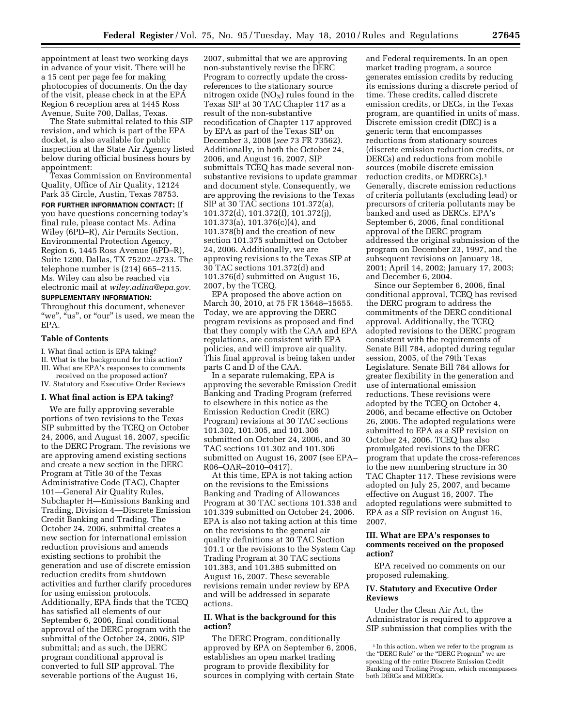appointment at least two working days in advance of your visit. There will be a 15 cent per page fee for making photocopies of documents. On the day of the visit, please check in at the EPA Region 6 reception area at 1445 Ross Avenue, Suite 700, Dallas, Texas.

The State submittal related to this SIP revision, and which is part of the EPA docket, is also available for public inspection at the State Air Agency listed below during official business hours by appointment:

Texas Commission on Environmental Quality, Office of Air Quality, 12124 Park 35 Circle, Austin, Texas 78753.

**FOR FURTHER INFORMATION CONTACT:** If you have questions concerning today's final rule, please contact Ms. Adina Wiley (6PD–R), Air Permits Section, Environmental Protection Agency, Region 6, 1445 Ross Avenue (6PD–R), Suite 1200, Dallas, TX 75202–2733. The telephone number is (214) 665–2115. Ms. Wiley can also be reached via electronic mail at *wiley.adina@epa.gov.* 

#### **SUPPLEMENTARY INFORMATION:**

Throughout this document, whenever "we", "us", or "our" is used, we mean the EPA.

## **Table of Contents**

I. What final action is EPA taking? II. What is the background for this action?

III. What are EPA's responses to comments

received on the proposed action? IV. Statutory and Executive Order Reviews

#### **I. What final action is EPA taking?**

We are fully approving severable portions of two revisions to the Texas SIP submitted by the TCEQ on October 24, 2006, and August 16, 2007, specific to the DERC Program. The revisions we are approving amend existing sections and create a new section in the DERC Program at Title 30 of the Texas Administrative Code (TAC), Chapter 101—General Air Quality Rules, Subchapter H—Emissions Banking and Trading, Division 4—Discrete Emission Credit Banking and Trading. The October 24, 2006, submittal creates a new section for international emission reduction provisions and amends existing sections to prohibit the generation and use of discrete emission reduction credits from shutdown activities and further clarify procedures for using emission protocols. Additionally, EPA finds that the TCEQ has satisfied all elements of our September 6, 2006, final conditional approval of the DERC program with the submittal of the October 24, 2006, SIP submittal; and as such, the DERC program conditional approval is converted to full SIP approval. The severable portions of the August 16,

2007, submittal that we are approving non-substantively revise the DERC Program to correctly update the crossreferences to the stationary source nitrogen oxide  $(NO<sub>X</sub>)$  rules found in the Texas SIP at 30 TAC Chapter 117 as a result of the non-substantive recodification of Chapter 117 approved by EPA as part of the Texas SIP on December 3, 2008 (*see* 73 FR 73562). Additionally, in both the October 24, 2006, and August 16, 2007, SIP submittals TCEQ has made several nonsubstantive revisions to update grammar and document style. Consequently, we are approving the revisions to the Texas SIP at 30 TAC sections 101.372(a), 101.372(d), 101.372(f), 101.372(j), 101.373(a), 101.376(c)(4), and 101.378(b) and the creation of new section 101.375 submitted on October 24, 2006. Additionally, we are approving revisions to the Texas SIP at 30 TAC sections 101.372(d) and 101.376(d) submitted on August 16, 2007, by the TCEQ.

EPA proposed the above action on March 30, 2010, at 75 FR 15648–15655. Today, we are approving the DERC program revisions as proposed and find that they comply with the CAA and EPA regulations, are consistent with EPA policies, and will improve air quality. This final approval is being taken under parts C and D of the CAA.

In a separate rulemaking, EPA is approving the severable Emission Credit Banking and Trading Program (referred to elsewhere in this notice as the Emission Reduction Credit (ERC) Program) revisions at 30 TAC sections 101.302, 101.305, and 101.306 submitted on October 24, 2006, and 30 TAC sections 101.302 and 101.306 submitted on August 16, 2007 (see EPA– R06–OAR–2010–0417).

At this time, EPA is not taking action on the revisions to the Emissions Banking and Trading of Allowances Program at 30 TAC sections 101.338 and 101.339 submitted on October 24, 2006. EPA is also not taking action at this time on the revisions to the general air quality definitions at 30 TAC Section 101.1 or the revisions to the System Cap Trading Program at 30 TAC sections 101.383, and 101.385 submitted on August 16, 2007. These severable revisions remain under review by EPA and will be addressed in separate actions.

#### **II. What is the background for this action?**

The DERC Program, conditionally approved by EPA on September 6, 2006, establishes an open market trading program to provide flexibility for sources in complying with certain State

and Federal requirements. In an open market trading program, a source generates emission credits by reducing its emissions during a discrete period of time. These credits, called discrete emission credits, or DECs, in the Texas program, are quantified in units of mass. Discrete emission credit (DEC) is a generic term that encompasses reductions from stationary sources (discrete emission reduction credits, or DERCs) and reductions from mobile sources (mobile discrete emission reduction credits, or MDERCs).1 Generally, discrete emission reductions of criteria pollutants (excluding lead) or precursors of criteria pollutants may be banked and used as DERCs. EPA's September 6, 2006, final conditional approval of the DERC program addressed the original submission of the program on December 23, 1997, and the subsequent revisions on January 18, 2001; April 14, 2002; January 17, 2003; and December 6, 2004.

Since our September 6, 2006, final conditional approval, TCEQ has revised the DERC program to address the commitments of the DERC conditional approval. Additionally, the TCEQ adopted revisions to the DERC program consistent with the requirements of Senate Bill 784, adopted during regular session, 2005, of the 79th Texas Legislature. Senate Bill 784 allows for greater flexibility in the generation and use of international emission reductions. These revisions were adopted by the TCEQ on October 4, 2006, and became effective on October 26, 2006. The adopted regulations were submitted to EPA as a SIP revision on October 24, 2006. TCEQ has also promulgated revisions to the DERC program that update the cross-references to the new numbering structure in 30 TAC Chapter 117. These revisions were adopted on July 25, 2007, and became effective on August 16, 2007. The adopted regulations were submitted to EPA as a SIP revision on August 16, 2007.

### **III. What are EPA's responses to comments received on the proposed action?**

EPA received no comments on our proposed rulemaking.

## **IV. Statutory and Executive Order Reviews**

Under the Clean Air Act, the Administrator is required to approve a SIP submission that complies with the

<sup>&</sup>lt;sup>1</sup> In this action, when we refer to the program as the "DERC Rule" or the "DERC Program" speaking of the entire Discrete Emission Credit Banking and Trading Program, which encompasses both DERCs and MDERCs.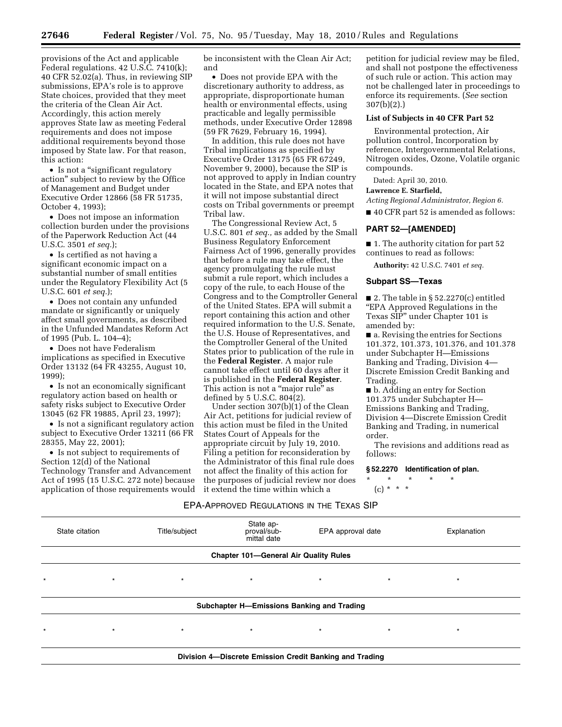provisions of the Act and applicable Federal regulations. 42 U.S.C. 7410(k); 40 CFR 52.02(a). Thus, in reviewing SIP submissions, EPA's role is to approve State choices, provided that they meet the criteria of the Clean Air Act. Accordingly, this action merely approves State law as meeting Federal requirements and does not impose additional requirements beyond those imposed by State law. For that reason, this action:

• Is not a "significant regulatory action'' subject to review by the Office of Management and Budget under Executive Order 12866 (58 FR 51735, October 4, 1993);

• Does not impose an information collection burden under the provisions of the Paperwork Reduction Act (44 U.S.C. 3501 *et seq.*);

• Is certified as not having a significant economic impact on a substantial number of small entities under the Regulatory Flexibility Act (5 U.S.C. 601 *et seq.*);

• Does not contain any unfunded mandate or significantly or uniquely affect small governments, as described in the Unfunded Mandates Reform Act of 1995 (Pub. L. 104–4);

• Does not have Federalism implications as specified in Executive Order 13132 (64 FR 43255, August 10,  $1999$ 

• Is not an economically significant regulatory action based on health or safety risks subject to Executive Order 13045 (62 FR 19885, April 23, 1997);

• Is not a significant regulatory action subject to Executive Order 13211 (66 FR 28355, May 22, 2001);

• Is not subject to requirements of Section 12(d) of the National Technology Transfer and Advancement Act of 1995 (15 U.S.C. 272 note) because application of those requirements would be inconsistent with the Clean Air Act; and

• Does not provide EPA with the discretionary authority to address, as appropriate, disproportionate human health or environmental effects, using practicable and legally permissible methods, under Executive Order 12898 (59 FR 7629, February 16, 1994).

In addition, this rule does not have Tribal implications as specified by Executive Order 13175 (65 FR 67249, November 9, 2000), because the SIP is not approved to apply in Indian country located in the State, and EPA notes that it will not impose substantial direct costs on Tribal governments or preempt Tribal law.

The Congressional Review Act, 5 U.S.C. 801 *et seq.,* as added by the Small Business Regulatory Enforcement Fairness Act of 1996, generally provides that before a rule may take effect, the agency promulgating the rule must submit a rule report, which includes a copy of the rule, to each House of the Congress and to the Comptroller General of the United States. EPA will submit a report containing this action and other required information to the U.S. Senate, the U.S. House of Representatives, and the Comptroller General of the United States prior to publication of the rule in the **Federal Register**. A major rule cannot take effect until 60 days after it is published in the **Federal Register**. This action is not a "major rule" as defined by 5 U.S.C. 804(2).

Under section 307(b)(1) of the Clean Air Act, petitions for judicial review of this action must be filed in the United States Court of Appeals for the appropriate circuit by July 19, 2010. Filing a petition for reconsideration by the Administrator of this final rule does not affect the finality of this action for the purposes of judicial review nor does it extend the time within which a

petition for judicial review may be filed, and shall not postpone the effectiveness of such rule or action. This action may not be challenged later in proceedings to enforce its requirements. (*See* section 307(b)(2).)

## **List of Subjects in 40 CFR Part 52**

Environmental protection, Air pollution control, Incorporation by reference, Intergovernmental Relations, Nitrogen oxides, Ozone, Volatile organic compounds.

Dated: April 30, 2010.

**Lawrence E. Starfield,** 

*Acting Regional Administrator, Region 6.* 

■ 40 CFR part 52 is amended as follows:

#### **PART 52—[AMENDED]**

■ 1. The authority citation for part 52 continues to read as follows:

**Authority:** 42 U.S.C. 7401 *et seq.* 

## **Subpart SS—Texas**

 $\blacksquare$  2. The table in § 52.2270(c) entitled ''EPA Approved Regulations in the Texas SIP'' under Chapter 101 is amended by:

■ a. Revising the entries for Sections 101.372, 101.373, 101.376, and 101.378 under Subchapter H—Emissions Banking and Trading, Division 4— Discrete Emission Credit Banking and Trading.

■ b. Adding an entry for Section 101.375 under Subchapter H— Emissions Banking and Trading, Division 4—Discrete Emission Credit Banking and Trading, in numerical order.

The revisions and additions read as follows:

**§ 52.2270 Identification of plan.** 

\* \* \* \* \*

 $(c) * * * *$ 

#### EPA-APPROVED REGULATIONS IN THE TEXAS SIP

| State citation | Title/subject | State ap-<br>proval/sub-<br>mittal date           | EPA approval date |         | Explanation |
|----------------|---------------|---------------------------------------------------|-------------------|---------|-------------|
|                |               | <b>Chapter 101-General Air Quality Rules</b>      |                   |         |             |
| $\star$        | $\star$       | $\star$                                           | $\star$           | $\star$ | $\star$     |
|                |               | <b>Subchapter H-Emissions Banking and Trading</b> |                   |         |             |
| $\star$        | $\star$       | $\star$                                           | $\star$           | $\star$ | $\star$     |
|                |               |                                                   |                   |         |             |

**Division 4—Discrete Emission Credit Banking and Trading**